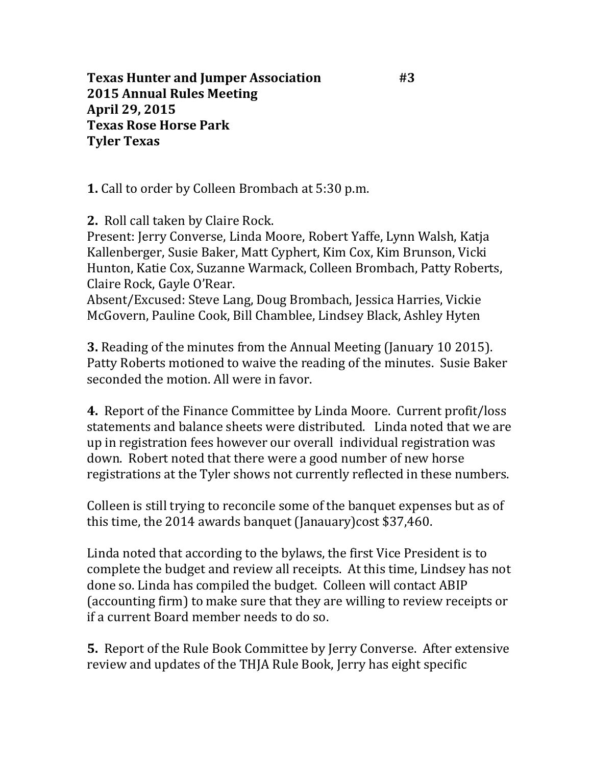**Texas Hunter and Jumper Association #3 2015 Annual Rules Meeting April 29, 2015 Texas Rose Horse Park Tyler Texas**

**1.** Call to order by Colleen Brombach at 5:30 p.m.

**2.** Roll call taken by Claire Rock.

Present: Jerry Converse, Linda Moore, Robert Yaffe, Lynn Walsh, Katja Kallenberger, Susie Baker, Matt Cyphert, Kim Cox, Kim Brunson, Vicki Hunton, Katie Cox, Suzanne Warmack, Colleen Brombach, Patty Roberts, Claire Rock, Gayle O'Rear.

Absent/Excused: Steve Lang, Doug Brombach, Jessica Harries, Vickie McGovern, Pauline Cook, Bill Chamblee, Lindsey Black, Ashley Hyten

**3.** Reading of the minutes from the Annual Meeting (January 10 2015). Patty Roberts motioned to waive the reading of the minutes. Susie Baker seconded the motion. All were in favor.

**4.** Report of the Finance Committee by Linda Moore. Current profit/loss statements and balance sheets were distributed. Linda noted that we are up in registration fees however our overall individual registration was down. Robert noted that there were a good number of new horse registrations at the Tyler shows not currently reflected in these numbers.

Colleen is still trying to reconcile some of the banquet expenses but as of this time, the 2014 awards banquet (Janauary)cost \$37,460.

Linda noted that according to the bylaws, the first Vice President is to complete the budget and review all receipts. At this time, Lindsey has not done so. Linda has compiled the budget. Colleen will contact ABIP (accounting firm) to make sure that they are willing to review receipts or if a current Board member needs to do so.

**5.** Report of the Rule Book Committee by Jerry Converse. After extensive review and updates of the THJA Rule Book, Jerry has eight specific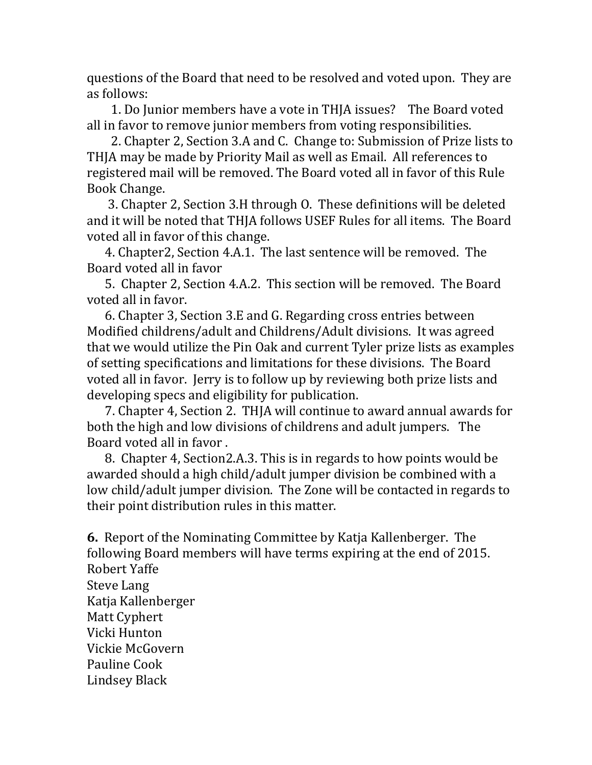questions of the Board that need to be resolved and voted upon. They are as follows:

 1. Do Junior members have a vote in THJA issues? The Board voted all in favor to remove junior members from voting responsibilities.

 2. Chapter 2, Section 3.A and C. Change to: Submission of Prize lists to THJA may be made by Priority Mail as well as Email. All references to registered mail will be removed. The Board voted all in favor of this Rule Book Change.

 3. Chapter 2, Section 3.H through O. These definitions will be deleted and it will be noted that THJA follows USEF Rules for all items. The Board voted all in favor of this change.

 4. Chapter2, Section 4.A.1. The last sentence will be removed. The Board voted all in favor

 5. Chapter 2, Section 4.A.2. This section will be removed. The Board voted all in favor.

 6. Chapter 3, Section 3.E and G. Regarding cross entries between Modified childrens/adult and Childrens/Adult divisions. It was agreed that we would utilize the Pin Oak and current Tyler prize lists as examples of setting specifications and limitations for these divisions. The Board voted all in favor. Jerry is to follow up by reviewing both prize lists and developing specs and eligibility for publication.

 7. Chapter 4, Section 2. THJA will continue to award annual awards for both the high and low divisions of childrens and adult jumpers. The Board voted all in favor .

 8. Chapter 4, Section2.A.3. This is in regards to how points would be awarded should a high child/adult jumper division be combined with a low child/adult jumper division. The Zone will be contacted in regards to their point distribution rules in this matter.

**6.** Report of the Nominating Committee by Katja Kallenberger. The following Board members will have terms expiring at the end of 2015. Robert Yaffe Steve Lang Katja Kallenberger Matt Cyphert Vicki Hunton Vickie McGovern Pauline Cook Lindsey Black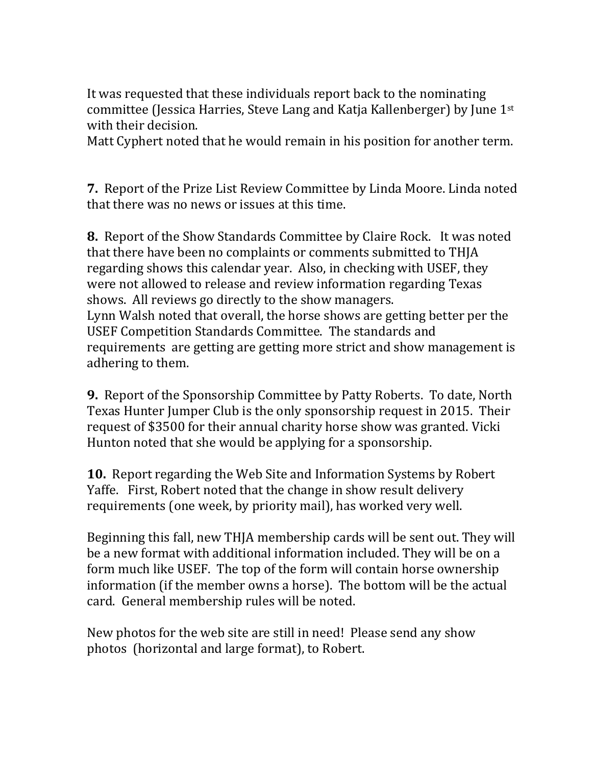It was requested that these individuals report back to the nominating committee (Jessica Harries, Steve Lang and Katja Kallenberger) by June 1st with their decision.

Matt Cyphert noted that he would remain in his position for another term.

**7.** Report of the Prize List Review Committee by Linda Moore. Linda noted that there was no news or issues at this time.

**8.** Report of the Show Standards Committee by Claire Rock. It was noted that there have been no complaints or comments submitted to THJA regarding shows this calendar year. Also, in checking with USEF, they were not allowed to release and review information regarding Texas shows. All reviews go directly to the show managers. Lynn Walsh noted that overall, the horse shows are getting better per the USEF Competition Standards Committee. The standards and requirements are getting are getting more strict and show management is adhering to them.

**9.** Report of the Sponsorship Committee by Patty Roberts. To date, North Texas Hunter Jumper Club is the only sponsorship request in 2015. Their request of \$3500 for their annual charity horse show was granted. Vicki Hunton noted that she would be applying for a sponsorship.

**10.** Report regarding the Web Site and Information Systems by Robert Yaffe. First, Robert noted that the change in show result delivery requirements (one week, by priority mail), has worked very well.

Beginning this fall, new THJA membership cards will be sent out. They will be a new format with additional information included. They will be on a form much like USEF. The top of the form will contain horse ownership information (if the member owns a horse). The bottom will be the actual card. General membership rules will be noted.

New photos for the web site are still in need! Please send any show photos (horizontal and large format), to Robert.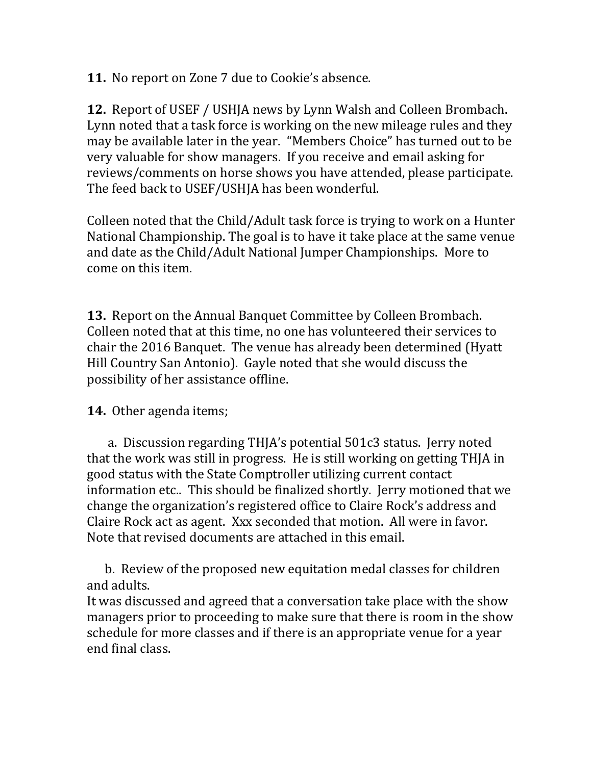**11.** No report on Zone 7 due to Cookie's absence.

**12.** Report of USEF / USHJA news by Lynn Walsh and Colleen Brombach. Lynn noted that a task force is working on the new mileage rules and they may be available later in the year. "Members Choice" has turned out to be very valuable for show managers. If you receive and email asking for reviews/comments on horse shows you have attended, please participate. The feed back to USEF/USHJA has been wonderful.

Colleen noted that the Child/Adult task force is trying to work on a Hunter National Championship. The goal is to have it take place at the same venue and date as the Child/Adult National Jumper Championships. More to come on this item.

**13.** Report on the Annual Banquet Committee by Colleen Brombach. Colleen noted that at this time, no one has volunteered their services to chair the 2016 Banquet. The venue has already been determined (Hyatt Hill Country San Antonio). Gayle noted that she would discuss the possibility of her assistance offline.

## **14.** Other agenda items;

 a. Discussion regarding THJA's potential 501c3 status. Jerry noted that the work was still in progress. He is still working on getting THJA in good status with the State Comptroller utilizing current contact information etc.. This should be finalized shortly. Jerry motioned that we change the organization's registered office to Claire Rock's address and Claire Rock act as agent. Xxx seconded that motion. All were in favor. Note that revised documents are attached in this email.

 b. Review of the proposed new equitation medal classes for children and adults.

It was discussed and agreed that a conversation take place with the show managers prior to proceeding to make sure that there is room in the show schedule for more classes and if there is an appropriate venue for a year end final class.